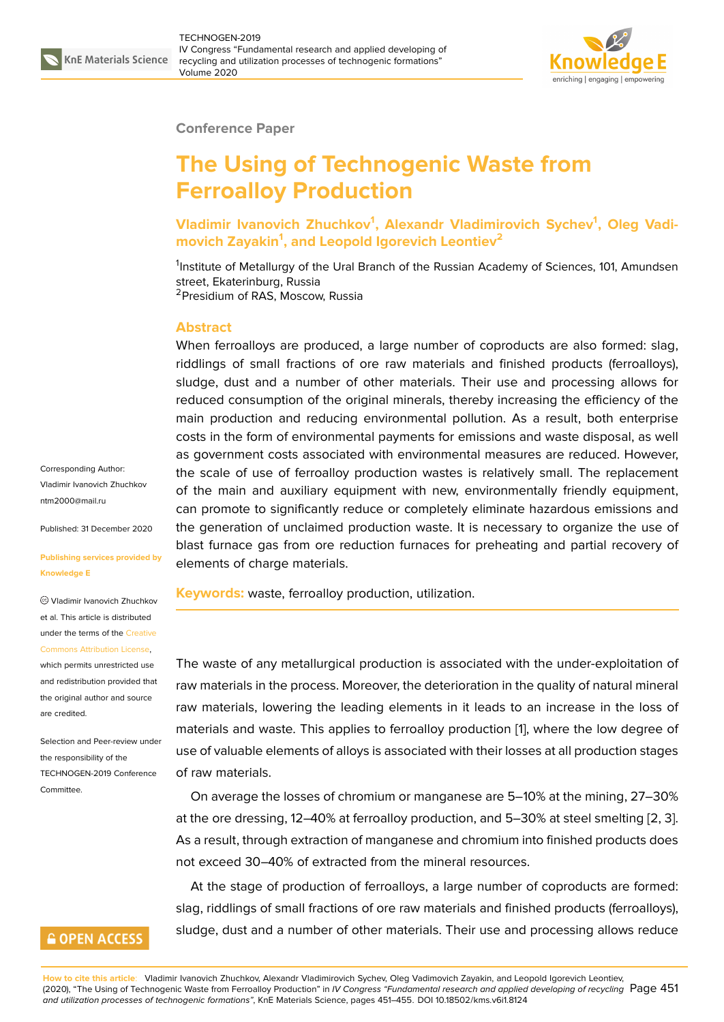

#### **Conference Paper**

# **The Using of Technogenic Waste from Ferroalloy Production**

**Vladimir Ivanovich Zhuchkov<sup>1</sup> , Alexandr Vladimirovich Sychev<sup>1</sup> , Oleg Vadimovich Zayakin<sup>1</sup> , and Leopold Igorevich Leontiev<sup>2</sup>**

<sup>1</sup>Institute of Metallurgy of the Ural Branch of the Russian Academy of Sciences, 101, Amundsen street, Ekaterinburg, Russia <sup>2</sup> Presidium of RAS, Moscow, Russia

#### **Abstract**

When ferroalloys are produced, a large number of coproducts are also formed: slag, riddlings of small fractions of ore raw materials and finished products (ferroalloys), sludge, dust and a number of other materials. Their use and processing allows for reduced consumption of the original minerals, thereby increasing the efficiency of the main production and reducing environmental pollution. As a result, both enterprise costs in the form of environmental payments for emissions and waste disposal, as well as government costs associated with environmental measures are reduced. However, the scale of use of ferroalloy production wastes is relatively small. The replacement of the main and auxiliary equipment with new, environmentally friendly equipment, can promote to significantly reduce or completely eliminate hazardous emissions and the generation of unclaimed production waste. It is necessary to organize the use of blast furnace gas from ore reduction furnaces for preheating and partial recovery of elements of charge materials.

**Keywords:** waste, ferroalloy production, utilization.

The waste of any metallurgical production is associated with the under-exploitation of raw materials in the process. Moreover, the deterioration in the quality of natural mineral raw materials, lowering the leading elements in it leads to an increase in the loss of materials and waste. This applies to ferroalloy production [1], where the low degree of use of valuable elements of alloys is associated with their losses at all production stages of raw materials.

On average the losses of chromium or manganese are 5[–1](#page-4-0)0% at the mining, 27–30% at the ore dressing, 12–40% at ferroalloy production, and 5–30% at steel smelting [2, 3]. As a result, through extraction of manganese and chromium into finished products does not exceed 30–40% of extracted from the mineral resources.

At the stage of production of ferroalloys, a large number of coproducts are for[m](#page-4-1)[ed](#page-4-2): slag, riddlings of small fractions of ore raw materials and finished products (ferroalloys), sludge, dust and a number of other materials. Their use and processing allows reduce

Corresponding Author: Vladimir Ivanovich Zhuchkov ntm2000@mail.ru

Published: 31 December 2020

#### **[Publishing service](mailto:ntm2000@mail.ru)s provided by Knowledge E**

Vladimir Ivanovich Zhuchkov et al. This article is distributed under the terms of the Creative Commons Attribution License,

which permits unrestricted use and redistribution provided that the original author and [source](https://creativecommons.org/licenses/by/4.0/) [are credited.](https://creativecommons.org/licenses/by/4.0/)

Selection and Peer-review under the responsibility of the TECHNOGEN-2019 Conference **Committee** 

### **GOPEN ACCESS**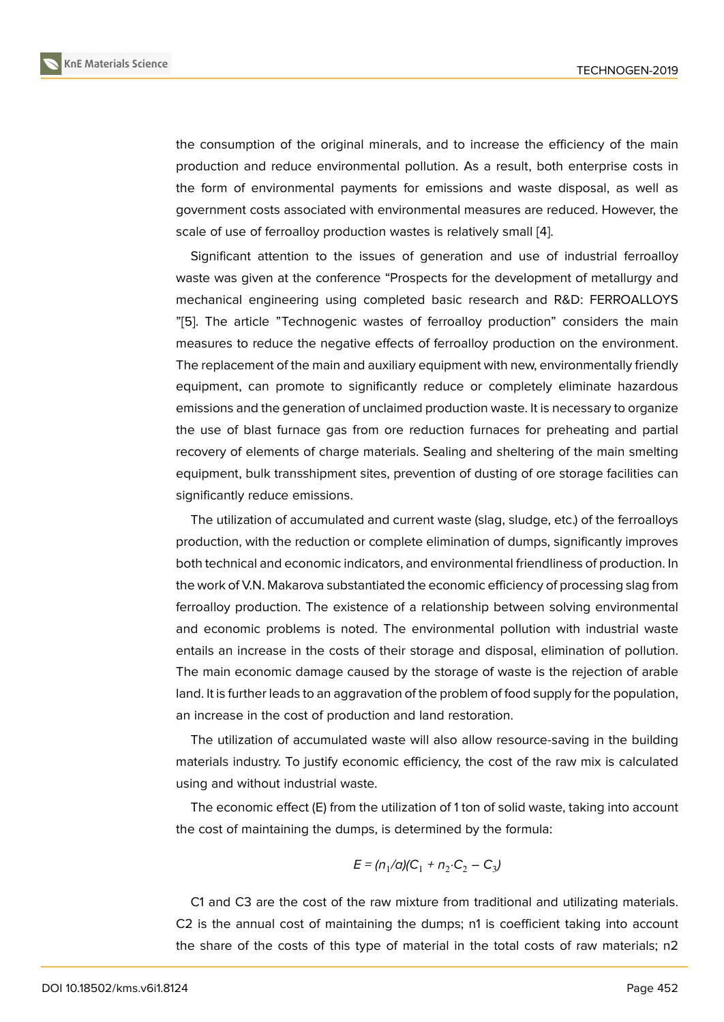the consumption of the original minerals, and to increase the efficiency of the main production and reduce environmental pollution. As a result, both enterprise costs in the form of environmental payments for emissions and waste disposal, as well as government costs associated with environmental measures are reduced. However, the scale of use of ferroalloy production wastes is relatively small [4].

Significant attention to the issues of generation and use of industrial ferroalloy waste was given at the conference "Prospects for the development of metallurgy and mechanical engineering using completed basic research a[nd](#page-4-3) R&D: FERROALLOYS "[5]. The article "Technogenic wastes of ferroalloy production" considers the main measures to reduce the negative effects of ferroalloy production on the environment. The replacement of the main and auxiliary equipment with new, environmentally friendly e[qu](#page-4-4)ipment, can promote to significantly reduce or completely eliminate hazardous emissions and the generation of unclaimed production waste. It is necessary to organize the use of blast furnace gas from ore reduction furnaces for preheating and partial recovery of elements of charge materials. Sealing and sheltering of the main smelting equipment, bulk transshipment sites, prevention of dusting of ore storage facilities can significantly reduce emissions.

The utilization of accumulated and current waste (slag, sludge, etc.) of the ferroalloys production, with the reduction or complete elimination of dumps, significantly improves both technical and economic indicators, and environmental friendliness of production. In the work of V.N. Makarova substantiated the economic efficiency of processing slag from ferroalloy production. The existence of a relationship between solving environmental and economic problems is noted. The environmental pollution with industrial waste entails an increase in the costs of their storage and disposal, elimination of pollution. The main economic damage caused by the storage of waste is the rejection of arable land. It is further leads to an aggravation of the problem of food supply for the population, an increase in the cost of production and land restoration.

The utilization of accumulated waste will also allow resource-saving in the building materials industry. To justify economic efficiency, the cost of the raw mix is calculated using and without industrial waste.

The economic effect (E) from the utilization of 1 ton of solid waste, taking into account the cost of maintaining the dumps, is determined by the formula:

$$
E = (n_1/a)(C_1 + n_2 \cdot C_2 - C_3)
$$

C1 and C3 are the cost of the raw mixture from traditional and utilizating materials. C2 is the annual cost of maintaining the dumps; n1 is coefficient taking into account the share of the costs of this type of material in the total costs of raw materials; n2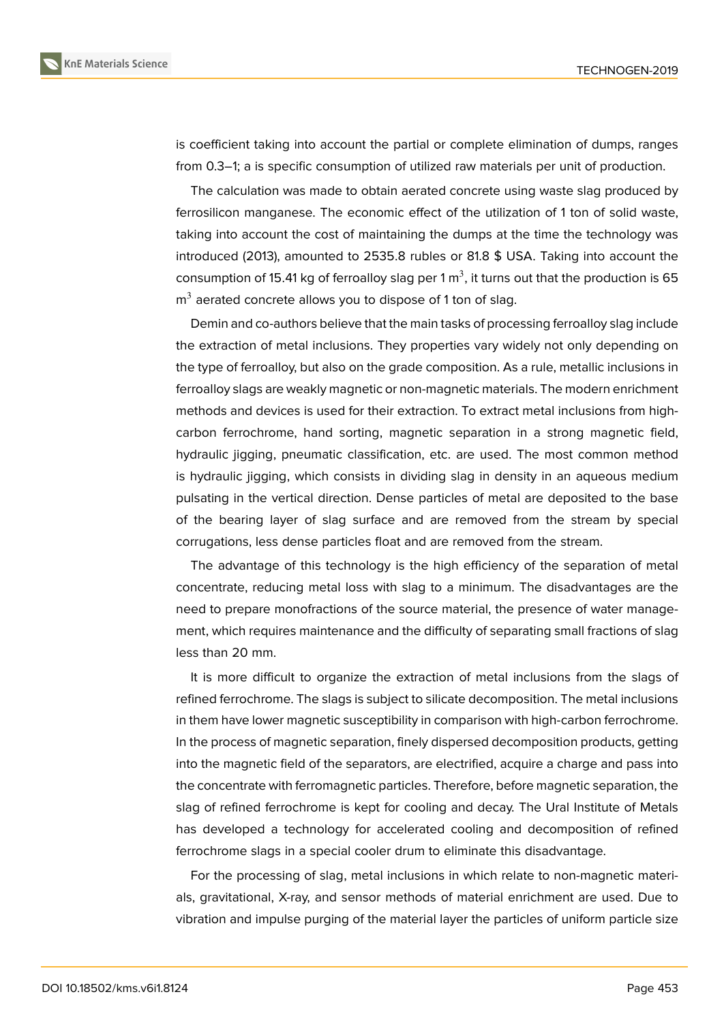

is coefficient taking into account the partial or complete elimination of dumps, ranges from 0.3–1; a is specific consumption of utilized raw materials per unit of production.

The calculation was made to obtain aerated concrete using waste slag produced by ferrosilicon manganese. The economic effect of the utilization of 1 ton of solid waste, taking into account the cost of maintaining the dumps at the time the technology was introduced (2013), amounted to 2535.8 rubles or 81.8 \$ USA. Taking into account the consumption of 15.41 kg of ferroalloy slag per 1 m<sup>3</sup>, it turns out that the production is 65  $\textsf{m}^{3}$  aerated concrete allows you to dispose of 1 ton of slag.

Demin and co-authors believe that the main tasks of processing ferroalloy slag include the extraction of metal inclusions. They properties vary widely not only depending on the type of ferroalloy, but also on the grade composition. As a rule, metallic inclusions in ferroalloy slags are weakly magnetic or non-magnetic materials. The modern enrichment methods and devices is used for their extraction. To extract metal inclusions from highcarbon ferrochrome, hand sorting, magnetic separation in a strong magnetic field, hydraulic jigging, pneumatic classification, etc. are used. The most common method is hydraulic jigging, which consists in dividing slag in density in an aqueous medium pulsating in the vertical direction. Dense particles of metal are deposited to the base of the bearing layer of slag surface and are removed from the stream by special corrugations, less dense particles float and are removed from the stream.

The advantage of this technology is the high efficiency of the separation of metal concentrate, reducing metal loss with slag to a minimum. The disadvantages are the need to prepare monofractions of the source material, the presence of water management, which requires maintenance and the difficulty of separating small fractions of slag less than 20 mm.

It is more difficult to organize the extraction of metal inclusions from the slags of refined ferrochrome. The slags is subject to silicate decomposition. The metal inclusions in them have lower magnetic susceptibility in comparison with high-carbon ferrochrome. In the process of magnetic separation, finely dispersed decomposition products, getting into the magnetic field of the separators, are electrified, acquire a charge and pass into the concentrate with ferromagnetic particles. Therefore, before magnetic separation, the slag of refined ferrochrome is kept for cooling and decay. The Ural Institute of Metals has developed a technology for accelerated cooling and decomposition of refined ferrochrome slags in a special cooler drum to eliminate this disadvantage.

For the processing of slag, metal inclusions in which relate to non-magnetic materials, gravitational, X-ray, and sensor methods of material enrichment are used. Due to vibration and impulse purging of the material layer the particles of uniform particle size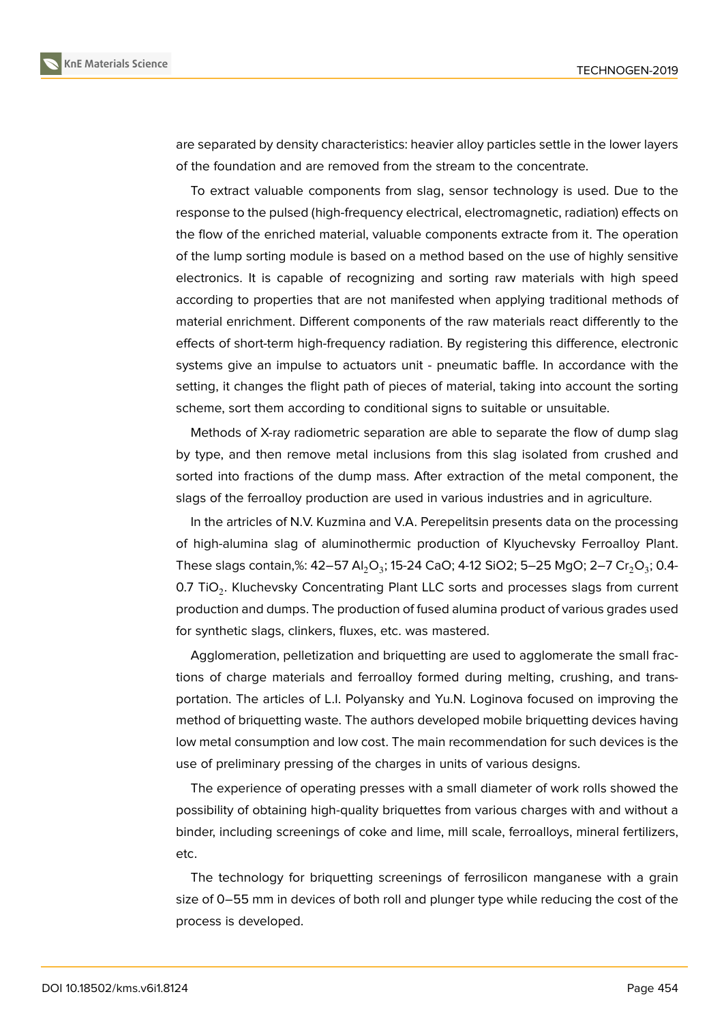

are separated by density characteristics: heavier alloy particles settle in the lower layers of the foundation and are removed from the stream to the concentrate.

To extract valuable components from slag, sensor technology is used. Due to the response to the pulsed (high-frequency electrical, electromagnetic, radiation) effects on the flow of the enriched material, valuable components extracte from it. The operation of the lump sorting module is based on a method based on the use of highly sensitive electronics. It is capable of recognizing and sorting raw materials with high speed according to properties that are not manifested when applying traditional methods of material enrichment. Different components of the raw materials react differently to the effects of short-term high-frequency radiation. By registering this difference, electronic systems give an impulse to actuators unit - pneumatic baffle. In accordance with the setting, it changes the flight path of pieces of material, taking into account the sorting scheme, sort them according to conditional signs to suitable or unsuitable.

Methods of X-ray radiometric separation are able to separate the flow of dump slag by type, and then remove metal inclusions from this slag isolated from crushed and sorted into fractions of the dump mass. After extraction of the metal component, the slags of the ferroalloy production are used in various industries and in agriculture.

In the artricles of N.V. Kuzmina and V.A. Perepelitsin presents data on the processing of high-alumina slag of aluminothermic production of Klyuchevsky Ferroalloy Plant. These slags contain,%: 42–57 Al $_2$ O $_3$ ; 15-24 CaO; 4-12 SiO2; 5–25 MgO; 2–7 Cr $_2$ O $_3$ ; 0.4-0.7 TiO<sub>2</sub>. Kluchevsky Concentrating Plant LLC sorts and processes slags from current production and dumps. The production of fused alumina product of various grades used for synthetic slags, clinkers, fluxes, etc. was mastered.

Agglomeration, pelletization and briquetting are used to agglomerate the small fractions of charge materials and ferroalloy formed during melting, crushing, and transportation. The articles of L.I. Polyansky and Yu.N. Loginova focused on improving the method of briquetting waste. The authors developed mobile briquetting devices having low metal consumption and low cost. The main recommendation for such devices is the use of preliminary pressing of the charges in units of various designs.

The experience of operating presses with a small diameter of work rolls showed the possibility of obtaining high-quality briquettes from various charges with and without a binder, including screenings of coke and lime, mill scale, ferroalloys, mineral fertilizers, etc.

The technology for briquetting screenings of ferrosilicon manganese with a grain size of 0–55 mm in devices of both roll and plunger type while reducing the cost of the process is developed.